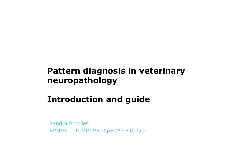## Pattern diagnosis in veterinary neuropathology

## Introduction and guide

Sandra Scholes BVM&S PhD MRCVS DipECVP FRCPath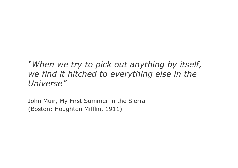## "When we try to pick out anything by itself, we find it hitched to everything else in the Universe"

John Muir, My First Summer in the Sierra (Boston: Houghton Mifflin, 1911)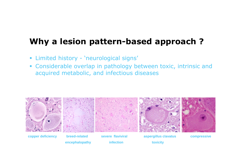# Why a lesion pattern-based approach ?

- $\Box$ Limited history - 'neurological signs'
- $\Box$  Considerable overlap in pathology between toxic, intrinsic and acquired metabolic, and infectious diseases



**encephalopathy infection toxicity**

**copper deficiency breed-related severe flaviviral aspergillus clavatus compressive**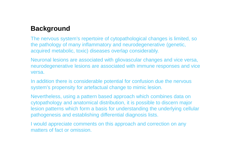### **Background**

The nervous system's repertoire of cytopathological changes is limited, so the pathology of many inflammatory and neurodegenerative (genetic, acquired metabolic, toxic) diseases overlap considerably.

Neuronal lesions are associated with gliovascular changes and vice versa, neurodegenerative lesions are associated with immune responses and vice versa.

In addition there is considerable potential for confusion due the nervous system's propensity for artefactual change to mimic lesion.

Nevertheless, using a pattern based approach which combines data on cytopathology and anatomical distribution, it is possible to discern major lesion patterns which form a basis for understanding the underlying cellular pathogenesis and establishing differential diagnosis lists.

I would appreciate comments on this approach and correction on any matters of fact or omission.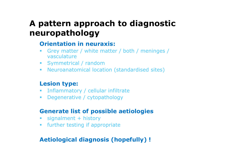## A pattern approach to diagnostic neuropathology

#### Orientation in neuraxis:

- Grey matter / white matter / both / meninges / vasculature
- Symmetrical / random
- Neuroanatomical location (standardised sites)

### Lesion type:

- $\mathcal{L}_{\mathcal{A}}$ Inflammatory / cellular infiltrate
- $\mathcal{L}_{\mathcal{A}}$ Degenerative / cytopathology

### Generate list of possible aetiologies

- $\mathcal{L}_{\mathcal{A}}$ signalment + history
- $\mathcal{L}_{\mathcal{A}}$ further testing if appropriate

### Aetiological diagnosis (hopefully) !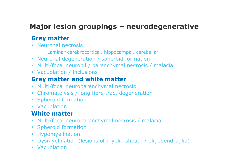### Major lesion groupings – neurodegenerative

### Grey matter

- **Neuronal necrosis** 
	- Laminar cerebrocortical, hippocampal, cerebellar
- Neuronal degeneration / spheroid formation
- Multi/focal neuropil / parenchymal necrosis / malaci a
- Vacuolation / inclusions<br>Crow mottor and whit

### Grey matter and white matter

- **Multi/focal neuroparenchymal necrosis**<br>Chromatolysis / Jong fibro tract dogone
- Chromatolysis / long fibre tract degeneration<br>• Spheroid formation
- Spheroid formation
- Vacuolation

### White matter

- **Multi/focal neuroparenchymal necrosis / malacia**<br>**E** Spharoid formation
- Spheroid formation
- **•** Hypomyelination
- **Dysmyelination (lesions of myelin sheath / oligodendroglia)**<br>• Vasuelation
- Vacuolation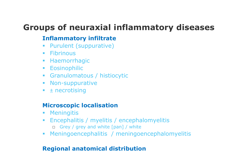## Groups of neuraxial inflammatory diseases

### Inflammatory infiltrate

- **Purulent (suppurative)**  $\mathcal{L}_{\mathcal{A}}$
- Fibrinous
- **Haemorrhagic**
- **Eosinophilic**
- Granulomatous / histiocytic
- **Non-suppurative**
- $\textcolor{red}{\bullet}$   $\textcolor{red}{\bullet}$   $\textcolor{red}{\bullet}$   $\textcolor{red}{\bullet}$   $\textcolor{red}{\bullet}$   $\textcolor{red}{\bullet}$   $\textcolor{red}{\bullet}$   $\textcolor{red}{\bullet}$   $\textcolor{red}{\bullet}$   $\textcolor{red}{\bullet}$   $\textcolor{red}{\bullet}$   $\textcolor{red}{\bullet}$   $\textcolor{red}{\bullet}$   $\textcolor{red}{\bullet}$   $\textcolor{red}{\bullet}$   $\textcolor{red}{\bullet}$   $\textcolor{red}{\bullet}$   $\textcolor{red}{\bullet}$   $\textcolor{$

### Microscopic localisation

- $\mathcal{L}_{\mathcal{A}}$ Meningitis
- $\overline{\phantom{a}}$  Encephalitis / myelitis / encephalomyelitis □ Grey / grey and white [pan] / white
- Meningoencephalitis / meningoencephalomyelitis

### Regional anatomical distribution